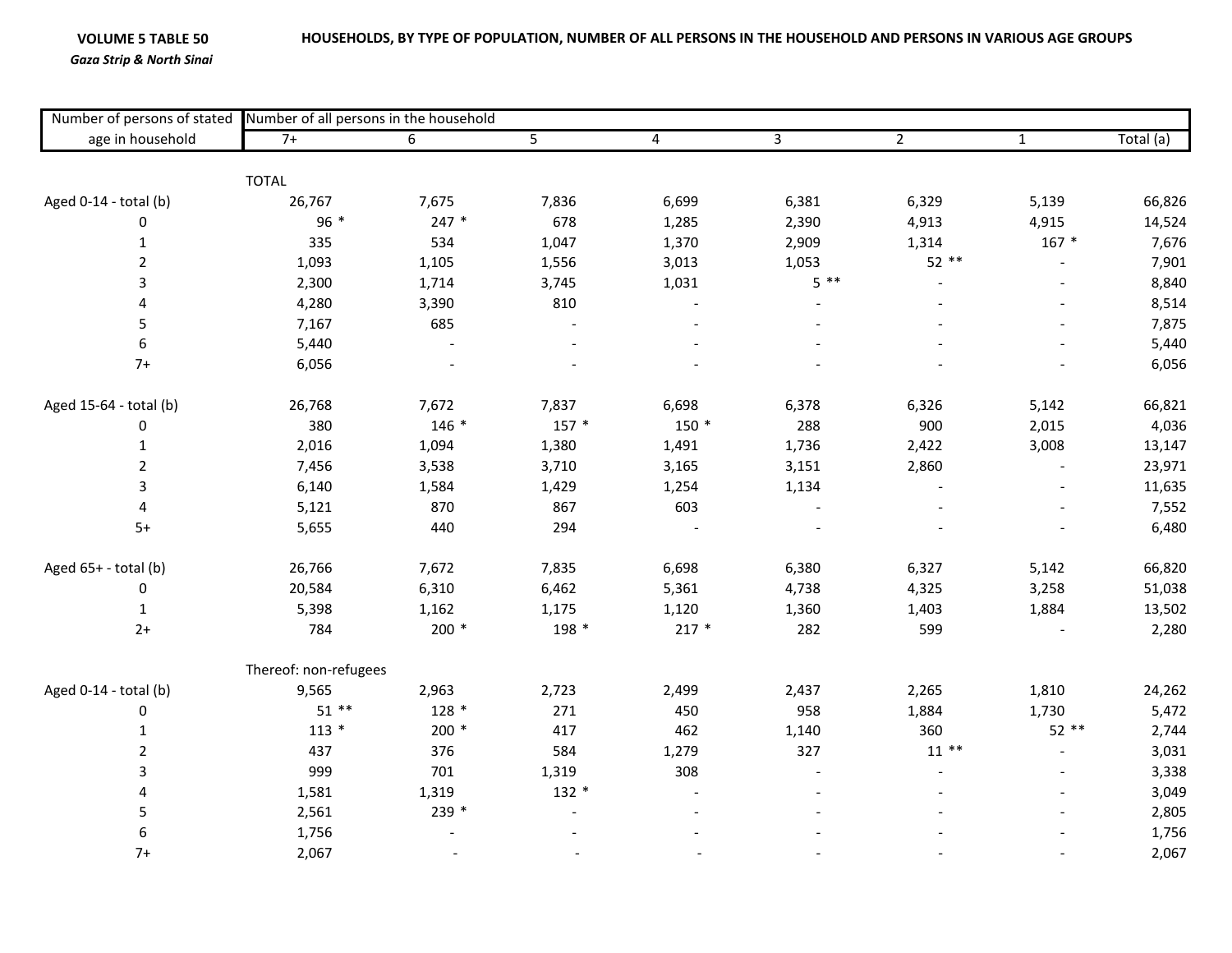## **VOLUME 5**

*Gaza Strip & North Sinai*

| age in household       | Number of persons of stated Number of all persons in the household |                 |                |                |                |                |              |           |  |  |
|------------------------|--------------------------------------------------------------------|-----------------|----------------|----------------|----------------|----------------|--------------|-----------|--|--|
|                        | $7+$                                                               | $6\overline{6}$ | $\overline{5}$ | $\overline{4}$ | $\overline{3}$ | $\overline{2}$ | $\mathbf{1}$ | Total (a) |  |  |
|                        | <b>TOTAL</b>                                                       |                 |                |                |                |                |              |           |  |  |
| Aged 0-14 - total (b)  | 26,767                                                             | 7,675           | 7,836          | 6,699          | 6,381          | 6,329          | 5,139        | 66,826    |  |  |
| $\pmb{0}$              | 96 *                                                               | $247 *$         | 678            | 1,285          | 2,390          | 4,913          | 4,915        | 14,524    |  |  |
| $\mathbf{1}$           | 335                                                                | 534             | 1,047          | 1,370          | 2,909          | 1,314          | $167 *$      | 7,676     |  |  |
| $\overline{2}$         | 1,093                                                              | 1,105           | 1,556          | 3,013          | 1,053          | 52 **          |              | 7,901     |  |  |
| 3                      | 2,300                                                              | 1,714           | 3,745          | 1,031          | $5***$         |                |              | 8,840     |  |  |
| 4                      | 4,280                                                              | 3,390           | 810            |                |                |                |              | 8,514     |  |  |
| 5                      | 7,167                                                              | 685             |                |                |                |                |              | 7,875     |  |  |
| 6                      | 5,440                                                              |                 |                |                |                |                |              | 5,440     |  |  |
| $7+$                   | 6,056                                                              |                 |                |                |                |                |              | 6,056     |  |  |
| Aged 15-64 - total (b) | 26,768                                                             | 7,672           | 7,837          | 6,698          | 6,378          | 6,326          | 5,142        | 66,821    |  |  |
| $\pmb{0}$              | 380                                                                | $146 *$         | $157 *$        | $150*$         | 288            | 900            | 2,015        | 4,036     |  |  |
| $\mathbf{1}$           | 2,016                                                              | 1,094           | 1,380          | 1,491          | 1,736          | 2,422          | 3,008        | 13,147    |  |  |
| $\overline{2}$         | 7,456                                                              | 3,538           | 3,710          | 3,165          | 3,151          | 2,860          |              | 23,971    |  |  |
| 3                      | 6,140                                                              | 1,584           | 1,429          | 1,254          | 1,134          |                |              | 11,635    |  |  |
| 4                      | 5,121                                                              | 870             | 867            | 603            |                |                |              | 7,552     |  |  |
| $5+$                   | 5,655                                                              | 440             | 294            |                |                |                |              | 6,480     |  |  |
| Aged $65+ -$ total (b) | 26,766                                                             | 7,672           | 7,835          | 6,698          | 6,380          | 6,327          | 5,142        | 66,820    |  |  |
| $\pmb{0}$              | 20,584                                                             | 6,310           | 6,462          | 5,361          | 4,738          | 4,325          | 3,258        | 51,038    |  |  |
| $\mathbf{1}$           | 5,398                                                              | 1,162           | 1,175          | 1,120          | 1,360          | 1,403          | 1,884        | 13,502    |  |  |
| $2+$                   | 784                                                                | $200 *$         | 198 *          | $217 *$        | 282            | 599            |              | 2,280     |  |  |
|                        | Thereof: non-refugees                                              |                 |                |                |                |                |              |           |  |  |
| Aged 0-14 - total (b)  | 9,565                                                              | 2,963           | 2,723          | 2,499          | 2,437          | 2,265          | 1,810        | 24,262    |  |  |
| $\pmb{0}$              | $51**$                                                             | 128 *           | 271            | 450            | 958            | 1,884          | 1,730        | 5,472     |  |  |
| $1\,$                  | $113 *$                                                            | 200 *           | 417            | 462            | 1,140          | 360            | $52**$       | 2,744     |  |  |
| $\overline{2}$         | 437                                                                | 376             | 584            | 1,279          | 327            | $11***$        |              | 3,031     |  |  |
| 3                      | 999                                                                | 701             | 1,319          | 308            |                |                |              | 3,338     |  |  |
| 4                      | 1,581                                                              | 1,319           | $132 *$        |                |                |                |              | 3,049     |  |  |
| 5                      | 2,561                                                              | 239 *           |                |                |                |                |              | 2,805     |  |  |
| $\boldsymbol{6}$       | 1,756                                                              |                 |                |                |                |                |              | 1,756     |  |  |
| $7+$                   | 2,067                                                              |                 |                |                |                |                |              | 2,067     |  |  |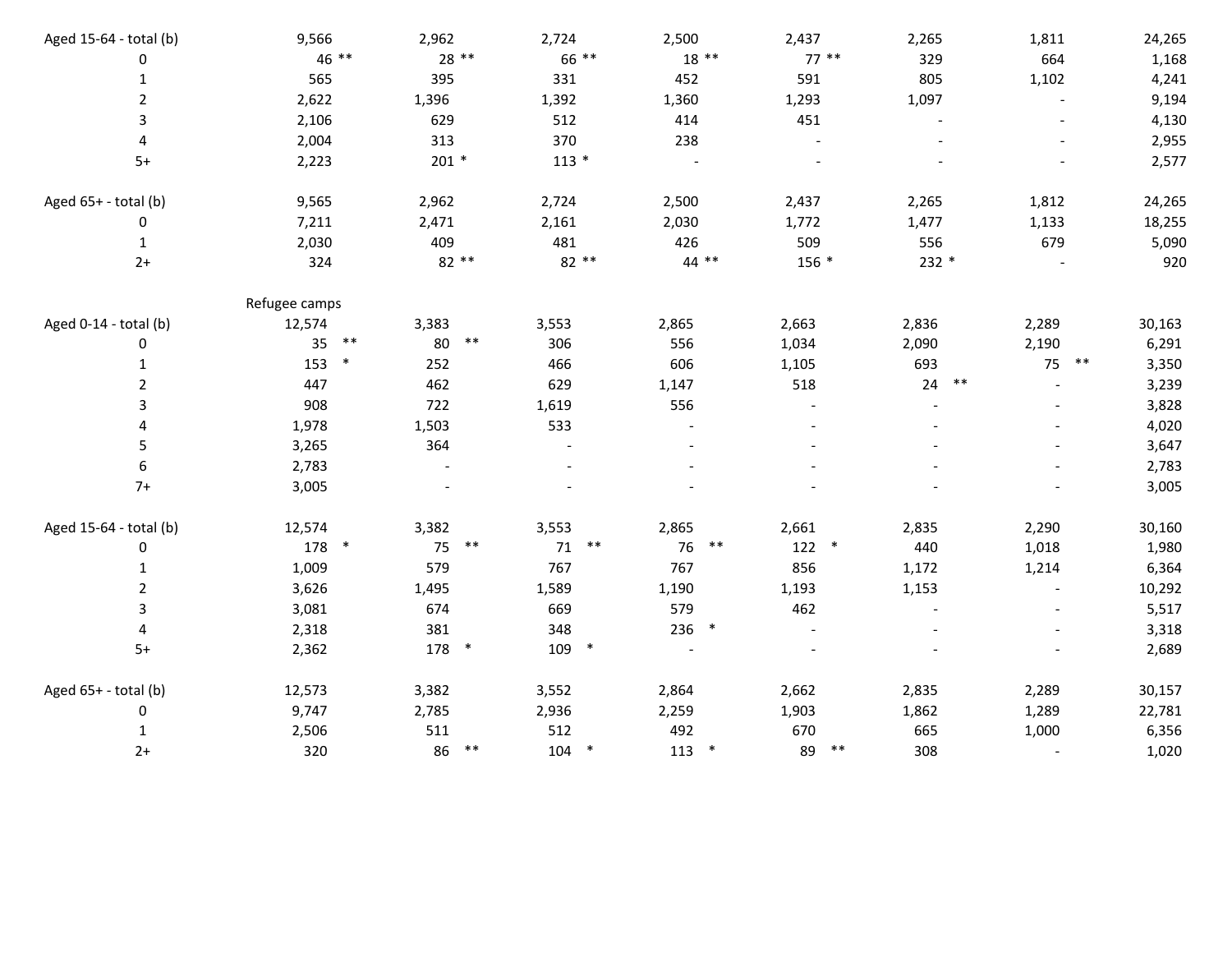| Aged 15-64 - total (b) | 9,566         | 2,962       | 2,724         | 2,500       | 2,437        |         | 2,265       | 1,811    | 24,265 |
|------------------------|---------------|-------------|---------------|-------------|--------------|---------|-------------|----------|--------|
| $\pmb{0}$              | 46 **         | 28 **       | 66 **         | $18**$      |              | $77***$ | 329         | 664      | 1,168  |
| $\mathbf{1}$           | 565           | 395         | 331           | 452         | 591          |         | 805         | 1,102    | 4,241  |
| $\overline{2}$         | 2,622         | 1,396       | 1,392         | 1,360       | 1,293        |         | 1,097       |          | 9,194  |
| 3                      | 2,106         | 629         | 512           | 414         | 451          |         |             |          | 4,130  |
| 4                      | 2,004         | 313         | 370           | 238         |              |         |             |          | 2,955  |
| $5+$                   | 2,223         | $201 *$     | $113 *$       |             |              |         |             |          | 2,577  |
| Aged 65+ - total (b)   | 9,565         | 2,962       | 2,724         | 2,500       | 2,437        |         | 2,265       | 1,812    | 24,265 |
| $\pmb{0}$              | 7,211         | 2,471       | 2,161         | 2,030       | 1,772        |         | 1,477       | 1,133    | 18,255 |
| 1                      | 2,030         | 409         | 481           | 426         | 509          |         | 556         | 679      | 5,090  |
| $2+$                   | 324           | 82 **       | 82 **         | 44 **       |              | 156 *   | $232 *$     |          | 920    |
|                        | Refugee camps |             |               |             |              |         |             |          |        |
| Aged 0-14 - total (b)  | 12,574        | 3,383       | 3,553         | 2,865       | 2,663        |         | 2,836       | 2,289    | 30,163 |
| 0                      | $***$<br>35   | $***$<br>80 | 306           | 556         | 1,034        |         | 2,090       | 2,190    | 6,291  |
| 1                      | 153<br>$\ast$ | 252         | 466           | 606         | 1,105        |         | 693         | 75<br>** | 3,350  |
| 2                      | 447           | 462         | 629           | 1,147       | 518          |         | 24<br>$***$ |          | 3,239  |
| 3                      | 908           | 722         | 1,619         | 556         |              |         |             |          | 3,828  |
| 4                      | 1,978         | 1,503       | 533           |             |              |         |             |          | 4,020  |
| 5                      | 3,265         | 364         |               |             |              |         |             |          | 3,647  |
| 6                      | 2,783         |             |               |             |              |         |             |          | 2,783  |
| $7+$                   | 3,005         |             |               |             |              |         |             |          | 3,005  |
| Aged 15-64 - total (b) | 12,574        | 3,382       | 3,553         | 2,865       | 2,661        |         | 2,835       | 2,290    | 30,160 |
| $\pmb{0}$              | 178 *         | 75 **       | 71            | $***$<br>76 | $***$        | $122$ * | 440         | 1,018    | 1,980  |
| 1                      | 1,009         | 579         | 767           | 767         | 856          |         | 1,172       | 1,214    | 6,364  |
| $\overline{2}$         | 3,626         | 1,495       | 1,589         | 1,190       | 1,193        |         | 1,153       |          | 10,292 |
| 3                      | 3,081         | 674         | 669           | 579         | 462          |         |             |          | 5,517  |
| 4                      | 2,318         | 381         | 348           | 236         | $\ast$       |         |             |          | 3,318  |
| $5+$                   | 2,362         | 178 *       | 109 *         |             |              |         |             |          | 2,689  |
| Aged 65+ - total (b)   | 12,573        | 3,382       | 3,552         | 2,864       | 2,662        |         | 2,835       | 2,289    | 30,157 |
| $\pmb{0}$              | 9,747         | 2,785       | 2,936         | 2,259       | 1,903        |         | 1,862       | 1,289    | 22,781 |
| 1                      | 2,506         | 511         | 512           | 492         | 670          |         | 665         | 1,000    | 6,356  |
| $2+$                   | 320           | $***$<br>86 | 104<br>$\ast$ | 113         | $\ast$<br>89 |         | 308         |          | 1,020  |